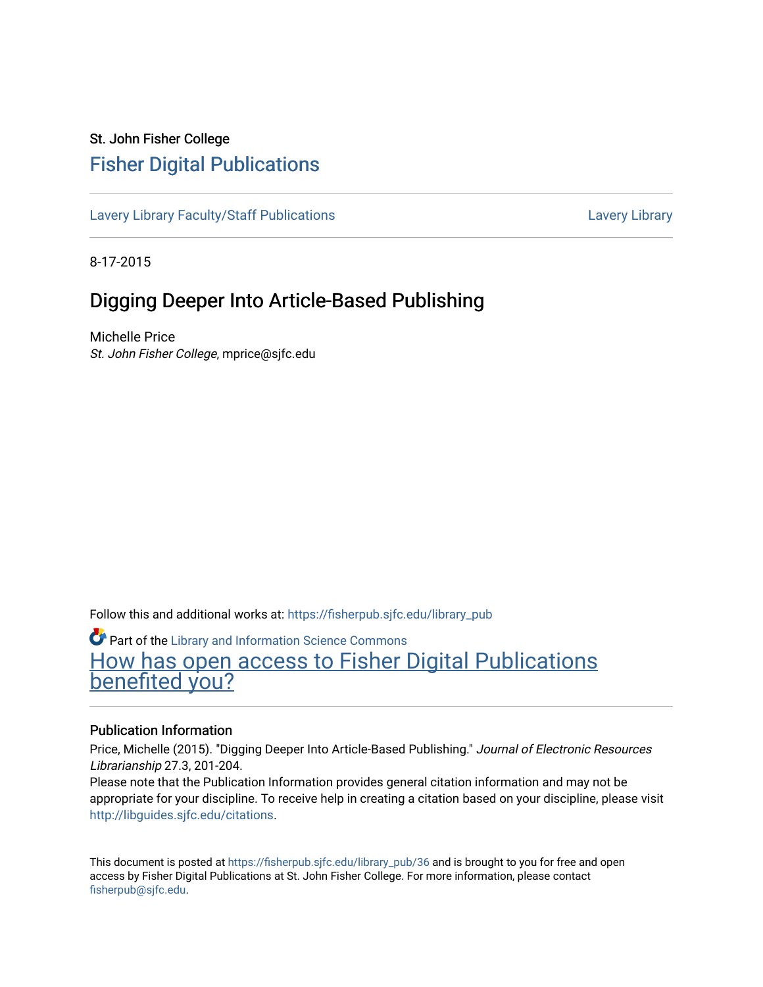# St. John Fisher College [Fisher Digital Publications](https://fisherpub.sjfc.edu/)

[Lavery Library Faculty/Staff Publications](https://fisherpub.sjfc.edu/library_pub) [Lavery Library](https://fisherpub.sjfc.edu/library) Lavery Library

8-17-2015

# Digging Deeper Into Article-Based Publishing

Michelle Price St. John Fisher College, mprice@sjfc.edu

Follow this and additional works at: [https://fisherpub.sjfc.edu/library\\_pub](https://fisherpub.sjfc.edu/library_pub?utm_source=fisherpub.sjfc.edu%2Flibrary_pub%2F36&utm_medium=PDF&utm_campaign=PDFCoverPages)

**Part of the Library and Information Science Commons** 

[How has open access to Fisher Digital Publications](https://docs.google.com/forms/d/14zrnDfH9d1wcdq8oG_-gFabAsxfcH5claltx85ZWyTg/viewform?entry.1394608989=https://fisherpub.sjfc.edu/library_pub/36%3Chttps://docs.google.com/forms/d/14zrnDfH9d1wcdq8oG_-gFabAsxfcH5claltx85ZWyTg/viewform?entry.1394608989=%7bhttps://fisherpub.sjfc.edu/library_pub/36%7d) [benefited you?](https://docs.google.com/forms/d/14zrnDfH9d1wcdq8oG_-gFabAsxfcH5claltx85ZWyTg/viewform?entry.1394608989=https://fisherpub.sjfc.edu/library_pub/36%3Chttps://docs.google.com/forms/d/14zrnDfH9d1wcdq8oG_-gFabAsxfcH5claltx85ZWyTg/viewform?entry.1394608989=%7bhttps://fisherpub.sjfc.edu/library_pub/36%7d)

#### Publication Information

Price, Michelle (2015). "Digging Deeper Into Article-Based Publishing." Journal of Electronic Resources Librarianship 27.3, 201-204.

Please note that the Publication Information provides general citation information and may not be appropriate for your discipline. To receive help in creating a citation based on your discipline, please visit [http://libguides.sjfc.edu/citations.](http://libguides.sjfc.edu/citations)

This document is posted at [https://fisherpub.sjfc.edu/library\\_pub/36](https://fisherpub.sjfc.edu/library_pub/36) and is brought to you for free and open access by Fisher Digital Publications at St. John Fisher College. For more information, please contact [fisherpub@sjfc.edu](mailto:fisherpub@sjfc.edu).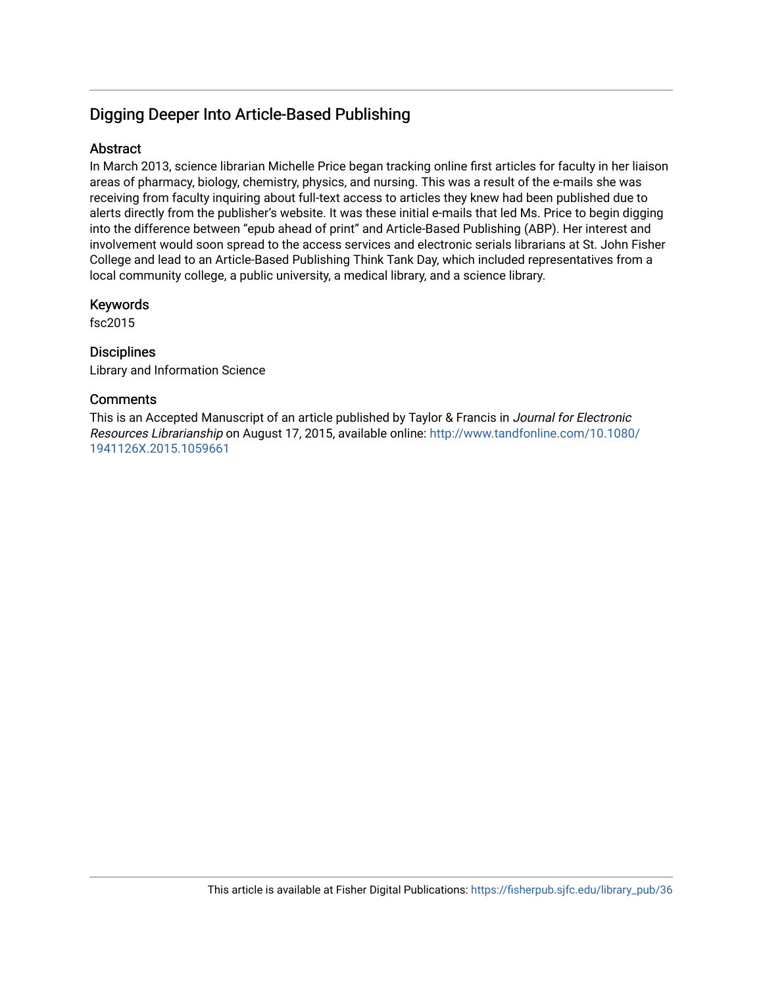## Digging Deeper Into Article-Based Publishing

## **Abstract**

In March 2013, science librarian Michelle Price began tracking online first articles for faculty in her liaison areas of pharmacy, biology, chemistry, physics, and nursing. This was a result of the e-mails she was receiving from faculty inquiring about full-text access to articles they knew had been published due to alerts directly from the publisher's website. It was these initial e-mails that led Ms. Price to begin digging into the difference between "epub ahead of print" and Article-Based Publishing (ABP). Her interest and involvement would soon spread to the access services and electronic serials librarians at St. John Fisher College and lead to an Article-Based Publishing Think Tank Day, which included representatives from a local community college, a public university, a medical library, and a science library.

### Keywords

fsc2015

### **Disciplines**

Library and Information Science

### **Comments**

This is an Accepted Manuscript of an article published by Taylor & Francis in Journal for Electronic Resources Librarianship on August 17, 2015, available online: [http://www.tandfonline.com/10.1080/](http://www.tandfonline.com/10.1080/1941126X.2015.1059661) [1941126X.2015.1059661](http://www.tandfonline.com/10.1080/1941126X.2015.1059661)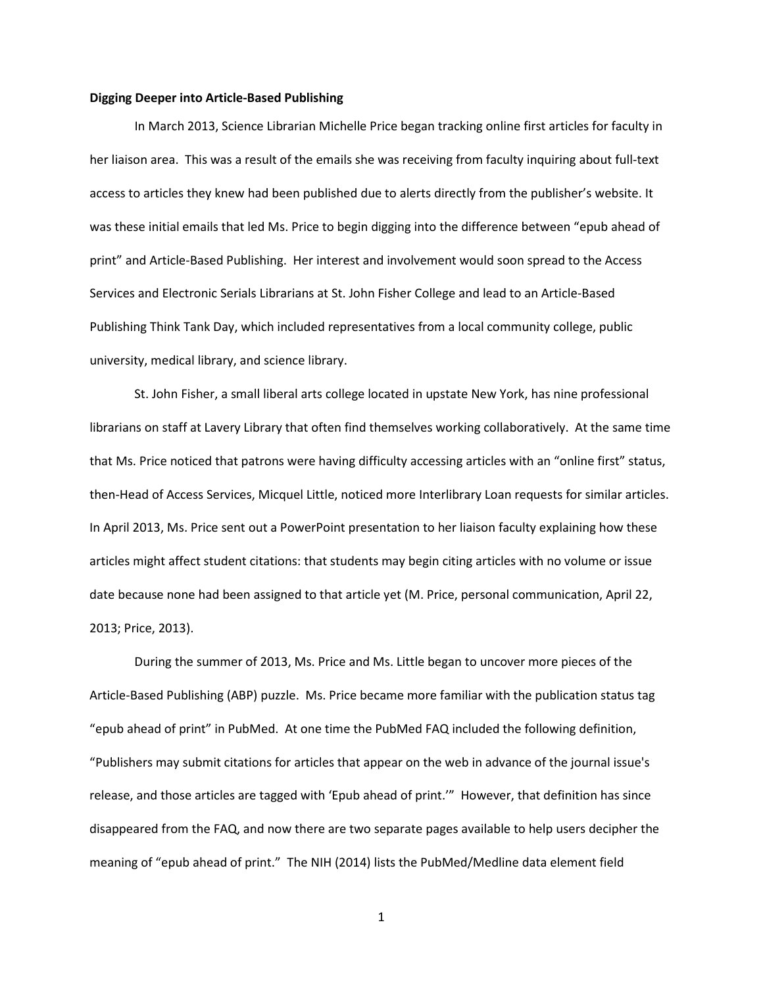#### **Digging Deeper into Article-Based Publishing**

In March 2013, Science Librarian Michelle Price began tracking online first articles for faculty in her liaison area. This was a result of the emails she was receiving from faculty inquiring about full-text access to articles they knew had been published due to alerts directly from the publisher's website. It was these initial emails that led Ms. Price to begin digging into the difference between "epub ahead of print" and Article-Based Publishing. Her interest and involvement would soon spread to the Access Services and Electronic Serials Librarians at St. John Fisher College and lead to an Article-Based Publishing Think Tank Day, which included representatives from a local community college, public university, medical library, and science library.

St. John Fisher, a small liberal arts college located in upstate New York, has nine professional librarians on staff at Lavery Library that often find themselves working collaboratively. At the same time that Ms. Price noticed that patrons were having difficulty accessing articles with an "online first" status, then-Head of Access Services, Micquel Little, noticed more Interlibrary Loan requests for similar articles. In April 2013, Ms. Price sent out a PowerPoint presentation to her liaison faculty explaining how these articles might affect student citations: that students may begin citing articles with no volume or issue date because none had been assigned to that article yet (M. Price, personal communication, April 22, 2013; Price, 2013).

During the summer of 2013, Ms. Price and Ms. Little began to uncover more pieces of the Article-Based Publishing (ABP) puzzle. Ms. Price became more familiar with the publication status tag "epub ahead of print" in PubMed. At one time the PubMed FAQ included the following definition, "Publishers may submit citations for articles that appear on the web in advance of the journal issue's release, and those articles are tagged with 'Epub ahead of print.'" However, that definition has since disappeared from the FAQ, and now there are two separate pages available to help users decipher the meaning of "epub ahead of print." The NIH (2014) lists the PubMed/Medline data element field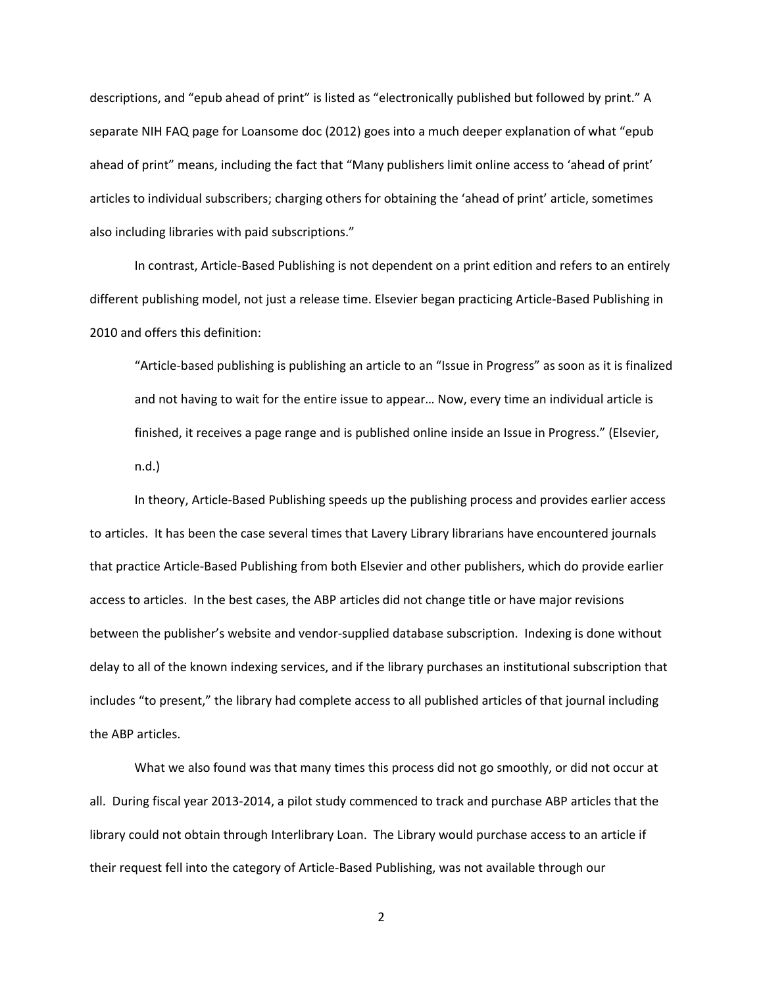descriptions, and "epub ahead of print" is listed as "electronically published but followed by print." A separate NIH FAQ page for Loansome doc (2012) goes into a much deeper explanation of what "epub ahead of print" means, including the fact that "Many publishers limit online access to 'ahead of print' articles to individual subscribers; charging others for obtaining the 'ahead of print' article, sometimes also including libraries with paid subscriptions."

In contrast, Article-Based Publishing is not dependent on a print edition and refers to an entirely different publishing model, not just a release time. Elsevier began practicing Article-Based Publishing in 2010 and offers this definition:

"Article-based publishing is publishing an article to an "Issue in Progress" as soon as it is finalized and not having to wait for the entire issue to appear… Now, every time an individual article is finished, it receives a page range and is published online inside an Issue in Progress." (Elsevier, n.d.)

In theory, Article-Based Publishing speeds up the publishing process and provides earlier access to articles. It has been the case several times that Lavery Library librarians have encountered journals that practice Article-Based Publishing from both Elsevier and other publishers, which do provide earlier access to articles. In the best cases, the ABP articles did not change title or have major revisions between the publisher's website and vendor-supplied database subscription. Indexing is done without delay to all of the known indexing services, and if the library purchases an institutional subscription that includes "to present," the library had complete access to all published articles of that journal including the ABP articles.

What we also found was that many times this process did not go smoothly, or did not occur at all. During fiscal year 2013-2014, a pilot study commenced to track and purchase ABP articles that the library could not obtain through Interlibrary Loan. The Library would purchase access to an article if their request fell into the category of Article-Based Publishing, was not available through our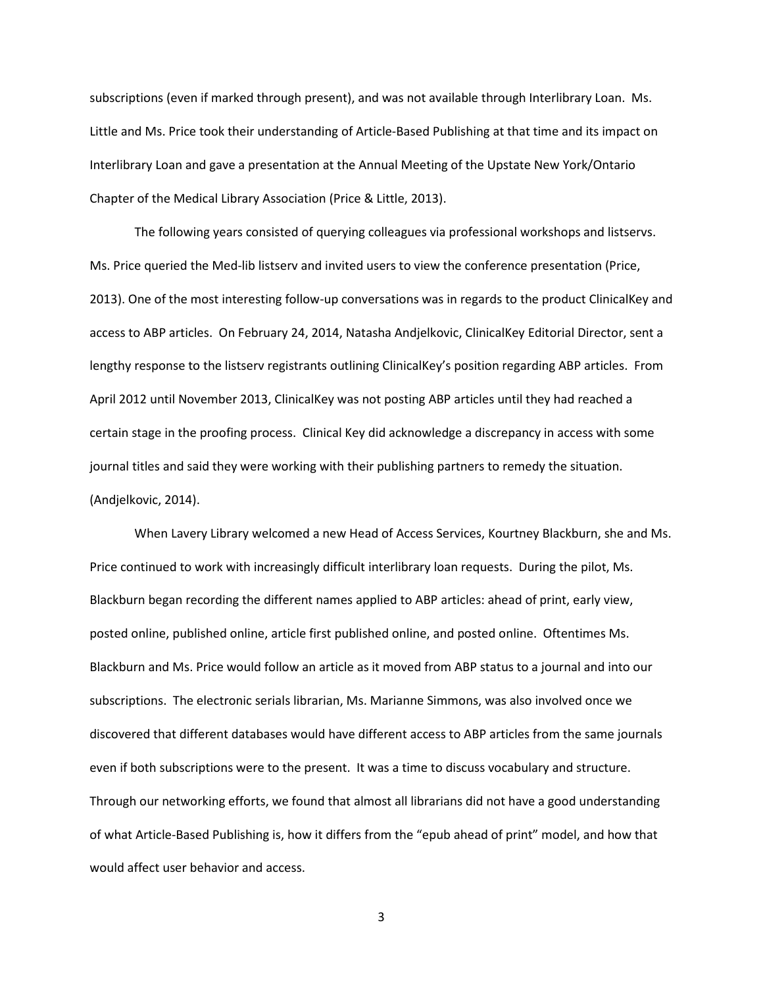subscriptions (even if marked through present), and was not available through Interlibrary Loan. Ms. Little and Ms. Price took their understanding of Article-Based Publishing at that time and its impact on Interlibrary Loan and gave a presentation at the Annual Meeting of the Upstate New York/Ontario Chapter of the Medical Library Association (Price & Little, 2013).

The following years consisted of querying colleagues via professional workshops and listservs. Ms. Price queried the Med-lib listserv and invited users to view the conference presentation (Price, 2013). One of the most interesting follow-up conversations was in regards to the product ClinicalKey and access to ABP articles. On February 24, 2014, Natasha Andjelkovic, ClinicalKey Editorial Director, sent a lengthy response to the listserv registrants outlining ClinicalKey's position regarding ABP articles. From April 2012 until November 2013, ClinicalKey was not posting ABP articles until they had reached a certain stage in the proofing process. Clinical Key did acknowledge a discrepancy in access with some journal titles and said they were working with their publishing partners to remedy the situation. (Andjelkovic, 2014).

When Lavery Library welcomed a new Head of Access Services, Kourtney Blackburn, she and Ms. Price continued to work with increasingly difficult interlibrary loan requests. During the pilot, Ms. Blackburn began recording the different names applied to ABP articles: ahead of print, early view, posted online, published online, article first published online, and posted online. Oftentimes Ms. Blackburn and Ms. Price would follow an article as it moved from ABP status to a journal and into our subscriptions. The electronic serials librarian, Ms. Marianne Simmons, was also involved once we discovered that different databases would have different access to ABP articles from the same journals even if both subscriptions were to the present. It was a time to discuss vocabulary and structure. Through our networking efforts, we found that almost all librarians did not have a good understanding of what Article-Based Publishing is, how it differs from the "epub ahead of print" model, and how that would affect user behavior and access.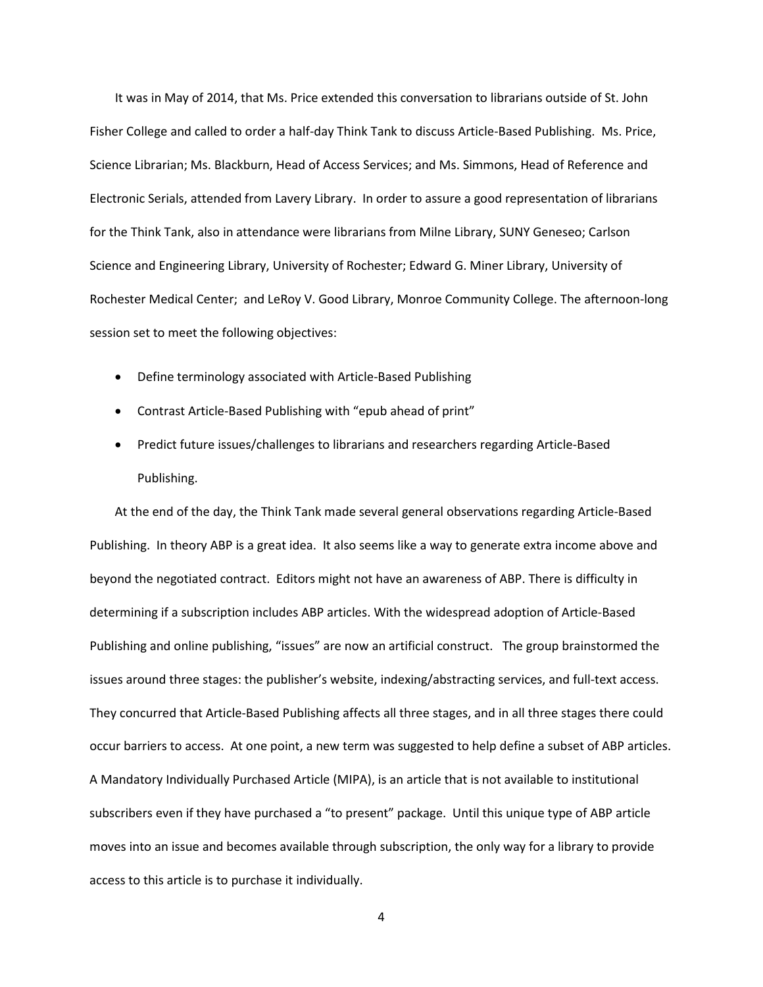It was in May of 2014, that Ms. Price extended this conversation to librarians outside of St. John Fisher College and called to order a half-day Think Tank to discuss Article-Based Publishing. Ms. Price, Science Librarian; Ms. Blackburn, Head of Access Services; and Ms. Simmons, Head of Reference and Electronic Serials, attended from Lavery Library. In order to assure a good representation of librarians for the Think Tank, also in attendance were librarians from Milne Library, SUNY Geneseo; Carlson Science and Engineering Library, University of Rochester; Edward G. Miner Library, University of Rochester Medical Center; and LeRoy V. Good Library, Monroe Community College. The afternoon-long session set to meet the following objectives:

- Define terminology associated with Article-Based Publishing
- Contrast Article-Based Publishing with "epub ahead of print"
- Predict future issues/challenges to librarians and researchers regarding Article-Based Publishing.

At the end of the day, the Think Tank made several general observations regarding Article-Based Publishing. In theory ABP is a great idea. It also seems like a way to generate extra income above and beyond the negotiated contract. Editors might not have an awareness of ABP. There is difficulty in determining if a subscription includes ABP articles. With the widespread adoption of Article-Based Publishing and online publishing, "issues" are now an artificial construct. The group brainstormed the issues around three stages: the publisher's website, indexing/abstracting services, and full-text access. They concurred that Article-Based Publishing affects all three stages, and in all three stages there could occur barriers to access. At one point, a new term was suggested to help define a subset of ABP articles. A Mandatory Individually Purchased Article (MIPA), is an article that is not available to institutional subscribers even if they have purchased a "to present" package. Until this unique type of ABP article moves into an issue and becomes available through subscription, the only way for a library to provide access to this article is to purchase it individually.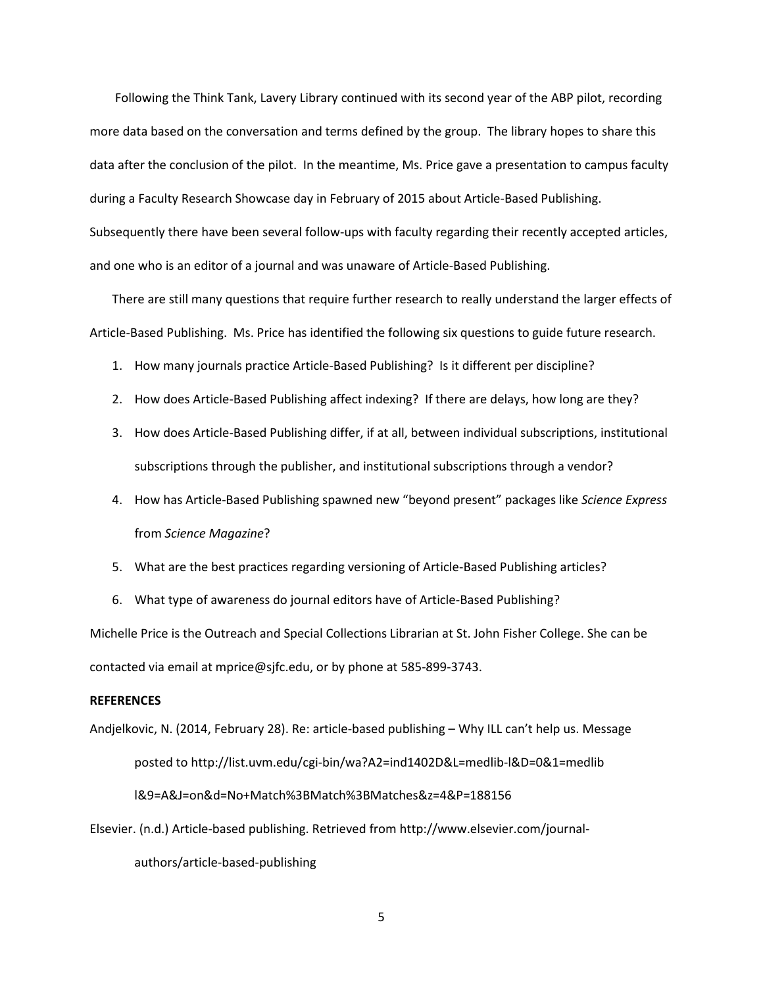Following the Think Tank, Lavery Library continued with its second year of the ABP pilot, recording more data based on the conversation and terms defined by the group. The library hopes to share this data after the conclusion of the pilot. In the meantime, Ms. Price gave a presentation to campus faculty during a Faculty Research Showcase day in February of 2015 about Article-Based Publishing. Subsequently there have been several follow-ups with faculty regarding their recently accepted articles, and one who is an editor of a journal and was unaware of Article-Based Publishing.

There are still many questions that require further research to really understand the larger effects of Article-Based Publishing. Ms. Price has identified the following six questions to guide future research.

- 1. How many journals practice Article-Based Publishing? Is it different per discipline?
- 2. How does Article-Based Publishing affect indexing? If there are delays, how long are they?
- 3. How does Article-Based Publishing differ, if at all, between individual subscriptions, institutional subscriptions through the publisher, and institutional subscriptions through a vendor?
- 4. How has Article-Based Publishing spawned new "beyond present" packages like *Science Express* from *Science Magazine*?
- 5. What are the best practices regarding versioning of Article-Based Publishing articles?
- 6. What type of awareness do journal editors have of Article-Based Publishing?

Michelle Price is the Outreach and Special Collections Librarian at St. John Fisher College. She can be contacted via email at mprice@sjfc.edu, or by phone at 585-899-3743.

#### **REFERENCES**

Andjelkovic, N. (2014, February 28). Re: article-based publishing – Why ILL can't help us. Message posted to http://list.uvm.edu/cgi-bin/wa?A2=ind1402D&L=medlib-l&D=0&1=medlib l&9=A&J=on&d=No+Match%3BMatch%3BMatches&z=4&P=188156

Elsevier. (n.d.) Article-based publishing. Retrieved from http://www.elsevier.com/journal-

authors/article-based-publishing